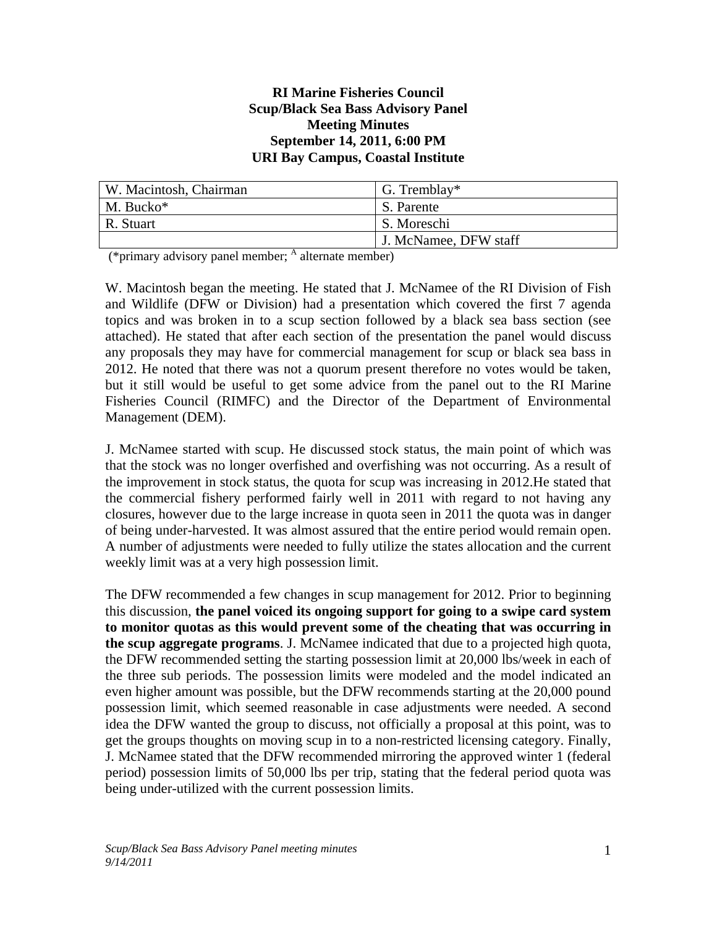#### **RI Marine Fisheries Council Scup/Black Sea Bass Advisory Panel Meeting Minutes September 14, 2011, 6:00 PM URI Bay Campus, Coastal Institute**

| W. Macintosh, Chairman | $\sqrt{G}$ . Tremblay* |
|------------------------|------------------------|
| $M.$ Bucko*            | S. Parente             |
| R. Stuart              | S. Moreschi            |
|                        | J. McNamee, DFW staff  |

(\*primary advisory panel member;  $\frac{A}{A}$  alternate member)

W. Macintosh began the meeting. He stated that J. McNamee of the RI Division of Fish and Wildlife (DFW or Division) had a presentation which covered the first 7 agenda topics and was broken in to a scup section followed by a black sea bass section (see attached). He stated that after each section of the presentation the panel would discuss any proposals they may have for commercial management for scup or black sea bass in 2012. He noted that there was not a quorum present therefore no votes would be taken, but it still would be useful to get some advice from the panel out to the RI Marine Fisheries Council (RIMFC) and the Director of the Department of Environmental Management (DEM).

J. McNamee started with scup. He discussed stock status, the main point of which was that the stock was no longer overfished and overfishing was not occurring. As a result of the improvement in stock status, the quota for scup was increasing in 2012.He stated that the commercial fishery performed fairly well in 2011 with regard to not having any closures, however due to the large increase in quota seen in 2011 the quota was in danger of being under-harvested. It was almost assured that the entire period would remain open. A number of adjustments were needed to fully utilize the states allocation and the current weekly limit was at a very high possession limit.

The DFW recommended a few changes in scup management for 2012. Prior to beginning this discussion, **the panel voiced its ongoing support for going to a swipe card system to monitor quotas as this would prevent some of the cheating that was occurring in the scup aggregate programs**. J. McNamee indicated that due to a projected high quota, the DFW recommended setting the starting possession limit at 20,000 lbs/week in each of the three sub periods. The possession limits were modeled and the model indicated an even higher amount was possible, but the DFW recommends starting at the 20,000 pound possession limit, which seemed reasonable in case adjustments were needed. A second idea the DFW wanted the group to discuss, not officially a proposal at this point, was to get the groups thoughts on moving scup in to a non-restricted licensing category. Finally, J. McNamee stated that the DFW recommended mirroring the approved winter 1 (federal period) possession limits of 50,000 lbs per trip, stating that the federal period quota was being under-utilized with the current possession limits.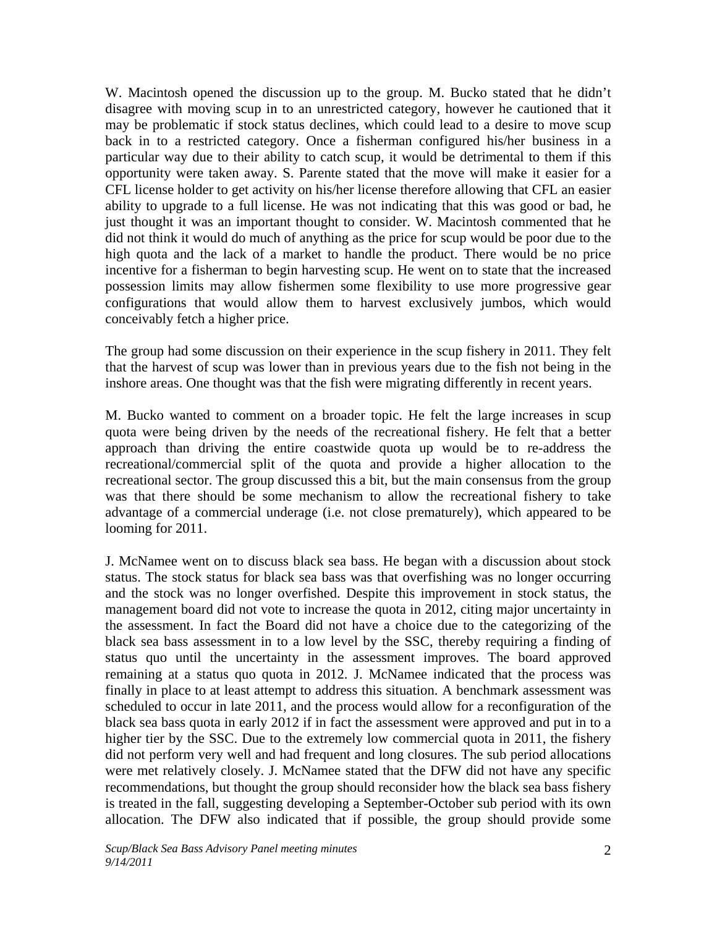W. Macintosh opened the discussion up to the group. M. Bucko stated that he didn't disagree with moving scup in to an unrestricted category, however he cautioned that it may be problematic if stock status declines, which could lead to a desire to move scup back in to a restricted category. Once a fisherman configured his/her business in a particular way due to their ability to catch scup, it would be detrimental to them if this opportunity were taken away. S. Parente stated that the move will make it easier for a CFL license holder to get activity on his/her license therefore allowing that CFL an easier ability to upgrade to a full license. He was not indicating that this was good or bad, he just thought it was an important thought to consider. W. Macintosh commented that he did not think it would do much of anything as the price for scup would be poor due to the high quota and the lack of a market to handle the product. There would be no price incentive for a fisherman to begin harvesting scup. He went on to state that the increased possession limits may allow fishermen some flexibility to use more progressive gear configurations that would allow them to harvest exclusively jumbos, which would conceivably fetch a higher price.

The group had some discussion on their experience in the scup fishery in 2011. They felt that the harvest of scup was lower than in previous years due to the fish not being in the inshore areas. One thought was that the fish were migrating differently in recent years.

M. Bucko wanted to comment on a broader topic. He felt the large increases in scup quota were being driven by the needs of the recreational fishery. He felt that a better approach than driving the entire coastwide quota up would be to re-address the recreational/commercial split of the quota and provide a higher allocation to the recreational sector. The group discussed this a bit, but the main consensus from the group was that there should be some mechanism to allow the recreational fishery to take advantage of a commercial underage (i.e. not close prematurely), which appeared to be looming for 2011.

J. McNamee went on to discuss black sea bass. He began with a discussion about stock status. The stock status for black sea bass was that overfishing was no longer occurring and the stock was no longer overfished. Despite this improvement in stock status, the management board did not vote to increase the quota in 2012, citing major uncertainty in the assessment. In fact the Board did not have a choice due to the categorizing of the black sea bass assessment in to a low level by the SSC, thereby requiring a finding of status quo until the uncertainty in the assessment improves. The board approved remaining at a status quo quota in 2012. J. McNamee indicated that the process was finally in place to at least attempt to address this situation. A benchmark assessment was scheduled to occur in late 2011, and the process would allow for a reconfiguration of the black sea bass quota in early 2012 if in fact the assessment were approved and put in to a higher tier by the SSC. Due to the extremely low commercial quota in 2011, the fishery did not perform very well and had frequent and long closures. The sub period allocations were met relatively closely. J. McNamee stated that the DFW did not have any specific recommendations, but thought the group should reconsider how the black sea bass fishery is treated in the fall, suggesting developing a September-October sub period with its own allocation. The DFW also indicated that if possible, the group should provide some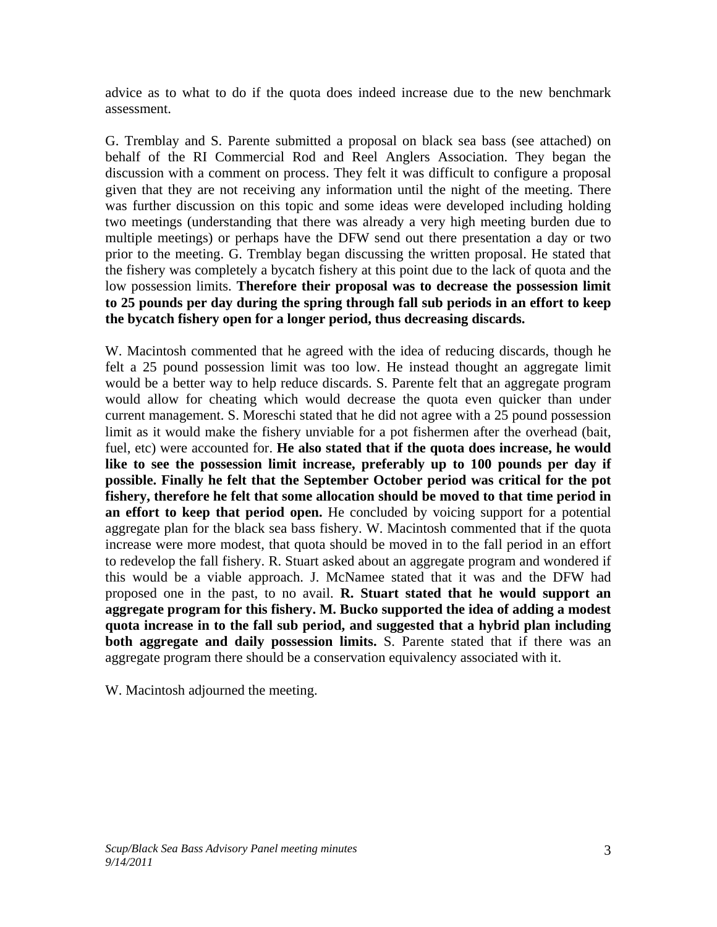advice as to what to do if the quota does indeed increase due to the new benchmark assessment.

G. Tremblay and S. Parente submitted a proposal on black sea bass (see attached) on behalf of the RI Commercial Rod and Reel Anglers Association. They began the discussion with a comment on process. They felt it was difficult to configure a proposal given that they are not receiving any information until the night of the meeting. There was further discussion on this topic and some ideas were developed including holding two meetings (understanding that there was already a very high meeting burden due to multiple meetings) or perhaps have the DFW send out there presentation a day or two prior to the meeting. G. Tremblay began discussing the written proposal. He stated that the fishery was completely a bycatch fishery at this point due to the lack of quota and the low possession limits. **Therefore their proposal was to decrease the possession limit to 25 pounds per day during the spring through fall sub periods in an effort to keep the bycatch fishery open for a longer period, thus decreasing discards.**

W. Macintosh commented that he agreed with the idea of reducing discards, though he felt a 25 pound possession limit was too low. He instead thought an aggregate limit would be a better way to help reduce discards. S. Parente felt that an aggregate program would allow for cheating which would decrease the quota even quicker than under current management. S. Moreschi stated that he did not agree with a 25 pound possession limit as it would make the fishery unviable for a pot fishermen after the overhead (bait, fuel, etc) were accounted for. **He also stated that if the quota does increase, he would like to see the possession limit increase, preferably up to 100 pounds per day if possible. Finally he felt that the September October period was critical for the pot fishery, therefore he felt that some allocation should be moved to that time period in an effort to keep that period open.** He concluded by voicing support for a potential aggregate plan for the black sea bass fishery. W. Macintosh commented that if the quota increase were more modest, that quota should be moved in to the fall period in an effort to redevelop the fall fishery. R. Stuart asked about an aggregate program and wondered if this would be a viable approach. J. McNamee stated that it was and the DFW had proposed one in the past, to no avail. **R. Stuart stated that he would support an aggregate program for this fishery. M. Bucko supported the idea of adding a modest quota increase in to the fall sub period, and suggested that a hybrid plan including both aggregate and daily possession limits.** S. Parente stated that if there was an aggregate program there should be a conservation equivalency associated with it.

W. Macintosh adjourned the meeting.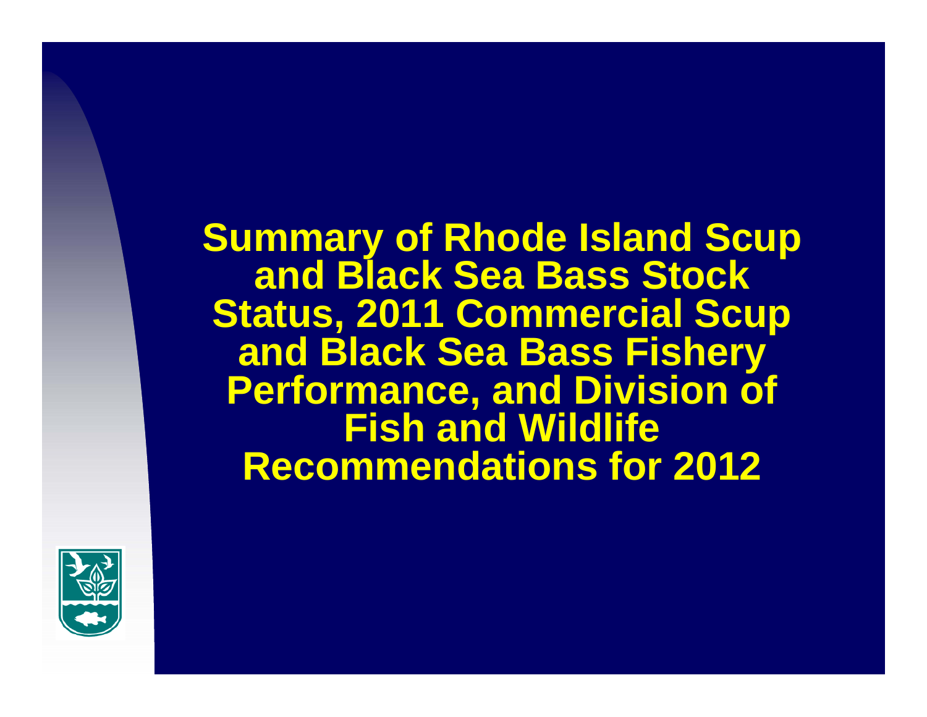**Summary of Rhode Island Scup and Black Sea Bass Stock Status, 2011 Commercial Scup and Black Sea Bass Fishery Performance, and Division of Fish and Wildlife Recommendations for 2012**

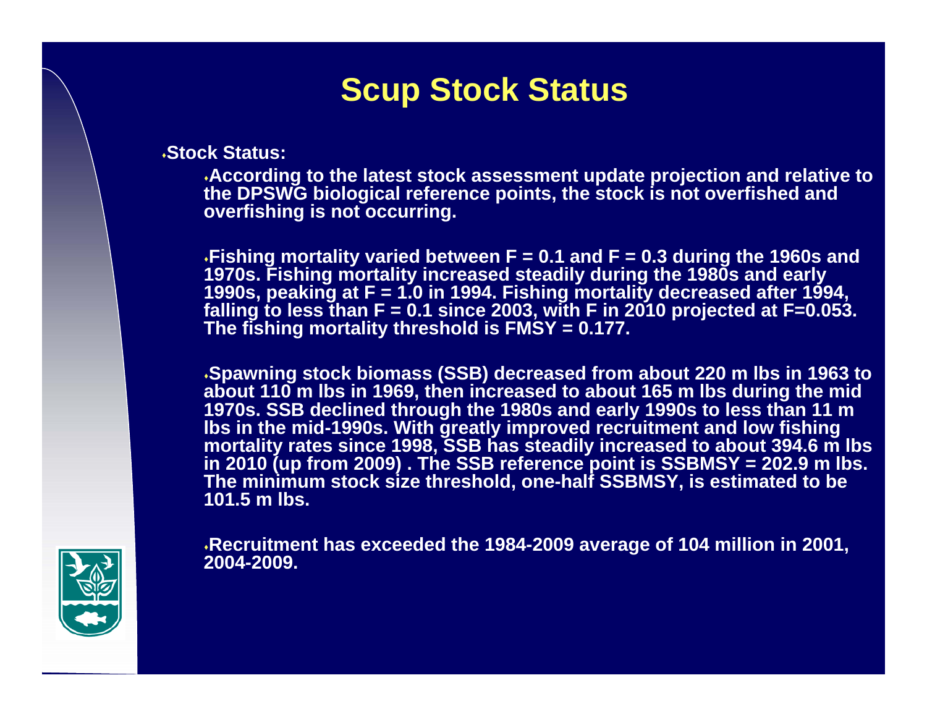# **Scup Stock Status**

**Stock Status:**

**According to the latest stock assessment update projection and relative to the DPSWG biological reference points, the stock is not overfished and overfishing is not occurring.** 

**Fishing mortality varied between F = 0.1 and F = 0.3 during the 1960s and 1970s. Fishing mortality increased steadily during the 1980s and early 1990s, peaking at F = 1.0 in 1994. Fishing mortality decreased after 1994, falling to less than F = 0.1 since 2003, with F in 2010 projected at F=0.053. The fishing mortality threshold is FMSY = 0.177.**

**Spawning stock biomass (SSB) decreased from about 220 m lbs in 1963 to about 110 m lbs in 1969, then increased to about 165 m lbs during the mid 1970s. SSB declined through the 1980s and early 1990s to less than 11 m lbs in the mid-1990s. With greatly improved recruitment and low fishing mortality rates since 1998, SSB has steadily increased to about 394.6 m lbs in 2010 (up from 2009) . The SSB reference point is SSBMSY = 202.9 m lbs. The minimum stock size threshold, one-half SSBMSY, is estimated to be 101.5 m lbs.**

**Recruitment has exceeded the 1984-2009 average of 104 million in 2001, 2004-2009.**

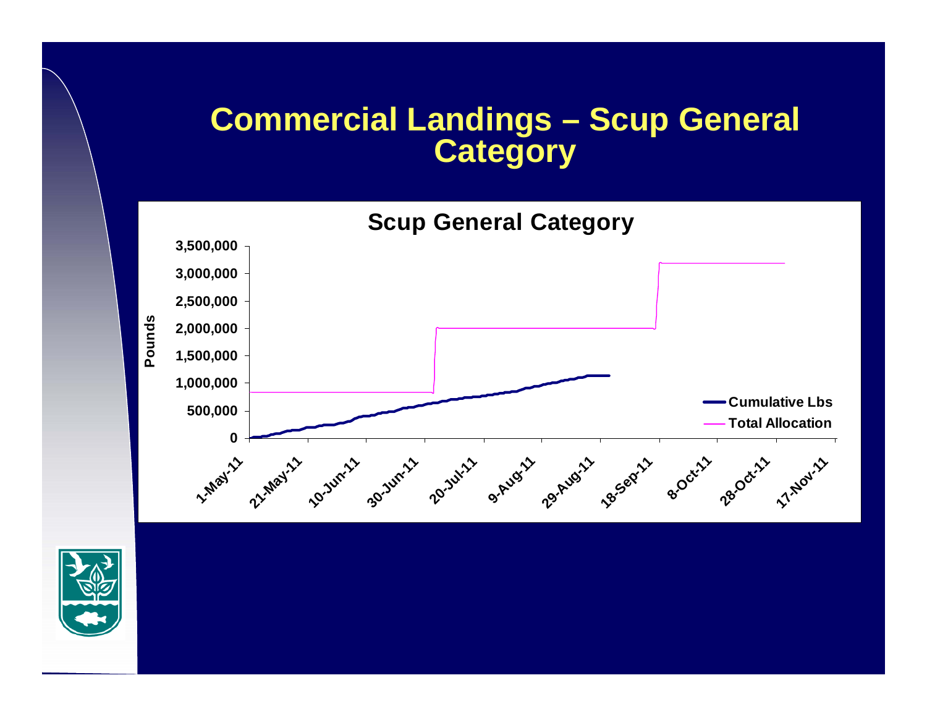## **Commercial Landings – Scup General Category**



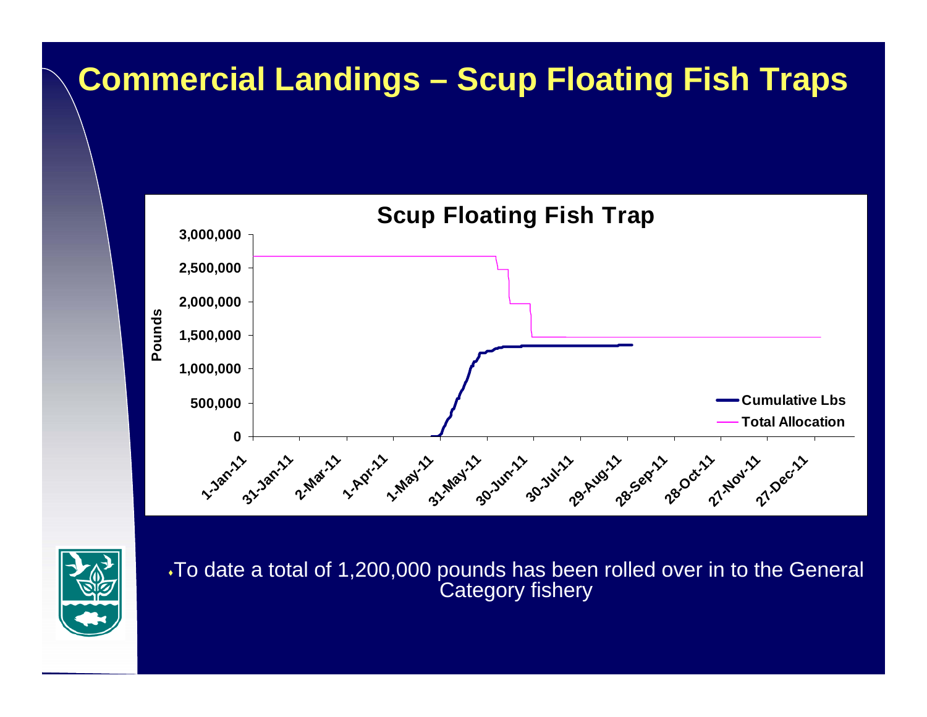# **Commercial Landings – Scup Floating Fish Traps**



To date a total of 1,200,000 pounds has been rolled over in to the General Category fishery

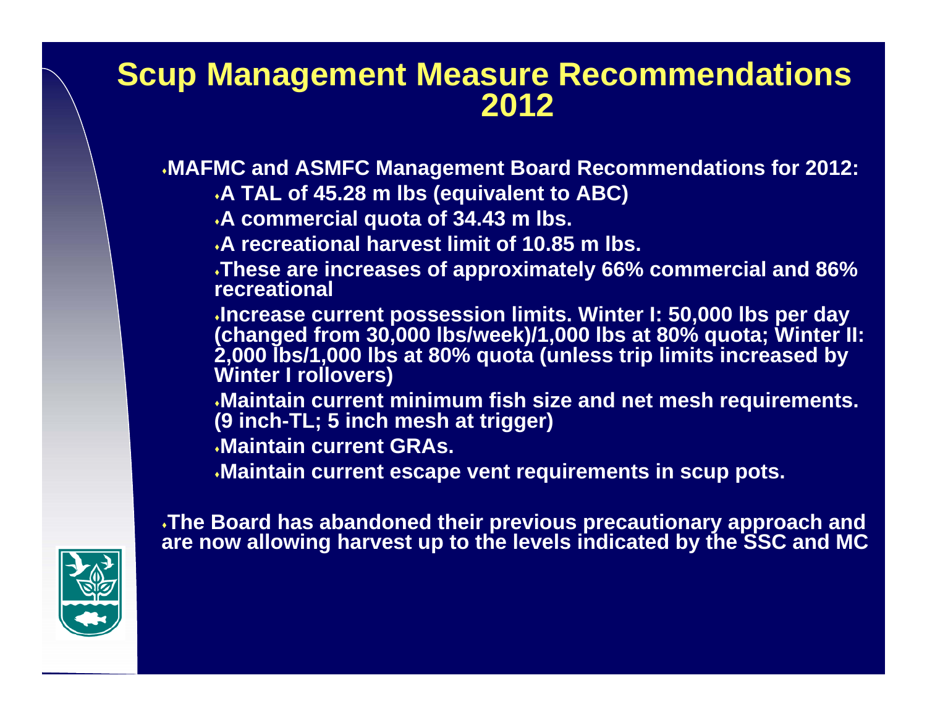#### **Scup Management Measure Recommendations 2012**

**MAFMC and ASMFC Management Board Recommendations for 2012:**

**A TAL of 45.28 m lbs (equivalent to ABC)** 

**A commercial quota of 34.43 m lbs.**

**A recreational harvest limit of 10.85 m lbs.**

**These are increases of approximately 66% commercial and 86% recreational**

**Increase current possession limits. Winter I: 50,000 lbs per day (changed from 30,000 lbs/week)/1,000 lbs at 80% quota; Winter II: 2,000 lbs/1,000 lbs at 80% quota (unless trip limits increased by Winter I rollovers)**

**Maintain current minimum fish size and net mesh requirements. (9 inch-TL; 5 inch mesh at trigger)**

**Maintain current GRAs.**

**Maintain current escape vent requirements in scup pots.**

**The Board has abandoned their previous precautionary approach and are now allowing harvest up to the levels indicated by the SSC and MC**

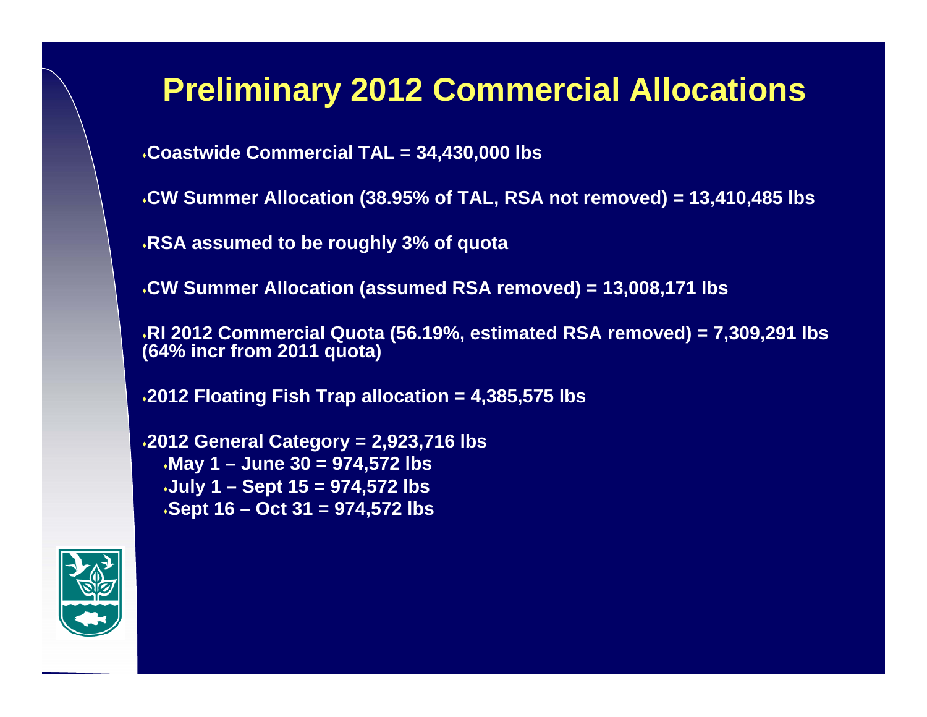## **Preliminary 2012 Commercial Allocations**

**Coastwide Commercial TAL = 34,430,000 lbs**

**CW Summer Allocation (38.95% of TAL, RSA not removed) = 13,410,485 lbs**

**RSA assumed to be roughly 3% of quota**

**CW Summer Allocation (assumed RSA removed) = 13,008,171 lbs**

**RI 2012 Commercial Quota (56.19%, estimated RSA removed) = 7,309,291 lbs (64% incr from 2011 quota)**

**2012 Floating Fish Trap allocation = 4,385,575 lbs**

**2012 General Category = 2,923,716 lbs May 1 – June 30 = 974,572 lbs July 1 – Sept 15 = 974,572 lbs Sept 16 – Oct 31 = 974,572 lbs**

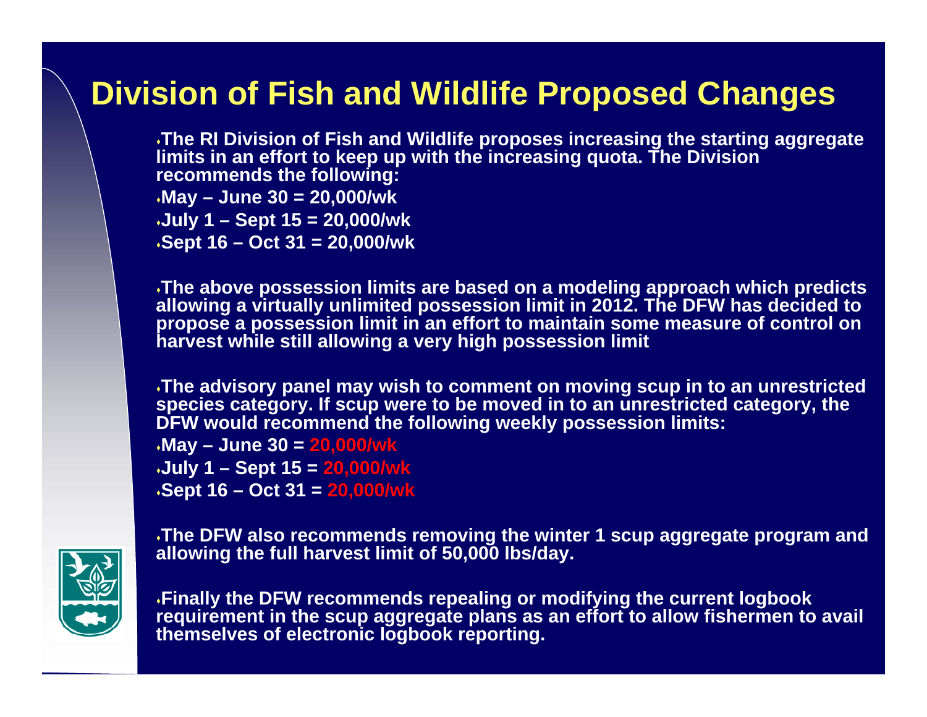# **Division of Fish and Wildlife Proposed Changes**

**The RI Division of Fish and Wildlife proposes increasing the starting aggregate limits in an effort to keep up with the increasing quota. The Division recommends the following: May – June 30 = 20,000/wk July 1 – Sept 15 = 20,000/wk Sept 16 – Oct 31 = 20,000/wk**

**The above possession limits are based on a modeling approach which predicts allowing a virtually unlimited possession limit in 2012. The DFW has decided to propose a possession limit in an effort to maintain some measure of control on harvest while still allowing a very high possession limit**

**The advisory panel may wish to comment on moving scup in to an unrestricted species category. If scup were to be moved in to an unrestricted category, the DFW would recommend the following weekly possession limits:**

**May – June 30 = 20,000/wk July 1 – Sept 15 = 20,000/wk Sept 16 – Oct 31 = 20,000/wk**



**The DFW also recommends removing the winter 1 scup aggregate program and allowing the full harvest limit of 50,000 lbs/day.**

**Finally the DFW recommends repealing or modifying the current logbook requirement in the scup aggregate plans as an effort to allow fishermen to avail themselves of electronic logbook reporting.**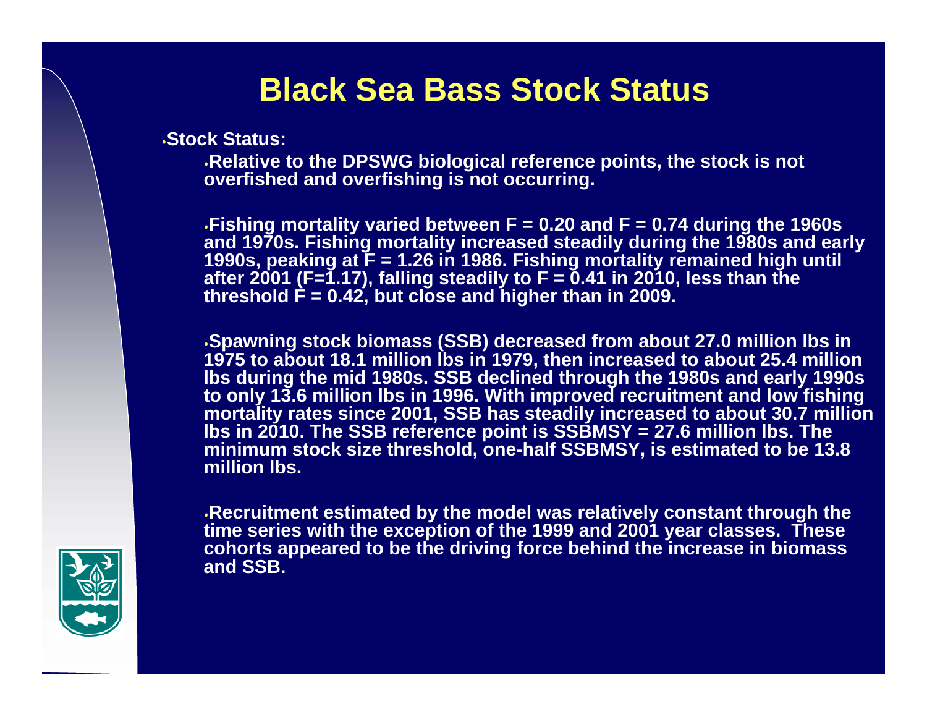## **Black Sea Bass Stock Status**

**Stock Status:**

**Relative to the DPSWG biological reference points, the stock is not overfished and overfishing is not occurring.** 

**Fishing mortality varied between F = 0.20 and F = 0.74 during the 1960s and 1970s. Fishing mortality increased steadily during the 1980s and early 1990s, peaking at F = 1.26 in 1986. Fishing mortality remained high until after 2001 (F=1.17), falling steadily to F = 0.41 in 2010, less than the threshold F = 0.42, but close and higher than in 2009.** 

**Spawning stock biomass (SSB) decreased from about 27.0 million lbs in 1975 to about 18.1 million lbs in 1979, then increased to about 25.4 million lbs during the mid 1980s. SSB declined through the 1980s and early 1990s to only 13.6 million lbs in 1996. With improved recruitment and low fishing mortality rates since 2001, SSB has steadily increased to about 30.7 million lbs in 2010. The SSB reference point is SSBMSY = 27.6 million lbs. The minimum stock size threshold, one-half SSBMSY, is estimated to be 13.8 million lbs.** 

**Recruitment estimated by the model was relatively constant through the time series with the exception of the 1999 and 2001 year classes. These cohorts appeared to be the driving force behind the increase in biomass and SSB.**

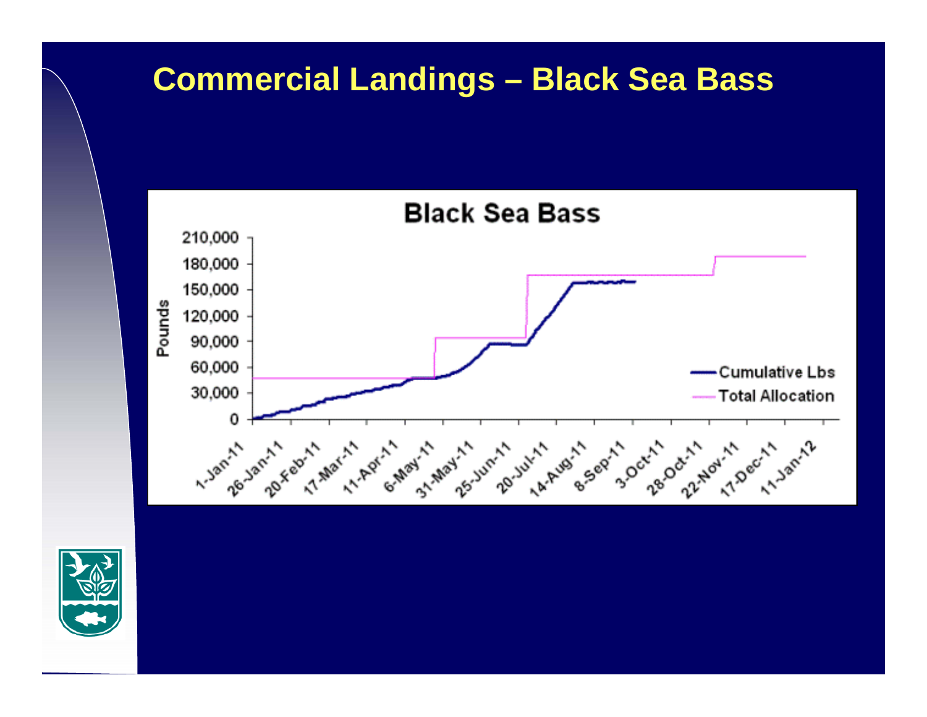# **Commercial Landings – Black Sea Bass**



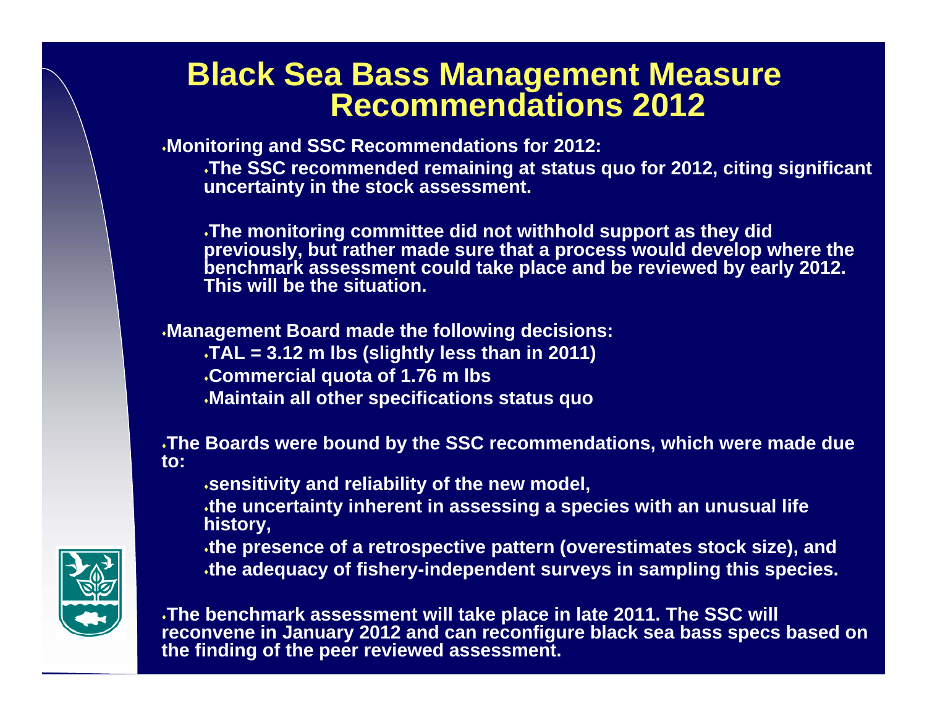#### **Black Sea Bass Management Measure Recommendations 2012**

**Monitoring and SSC Recommendations for 2012:**

**The SSC recommended remaining at status quo for 2012, citing significant uncertainty in the stock assessment.**

**The monitoring committee did not withhold support as they did previously, but rather made sure that a process would develop where the benchmark assessment could take place and be reviewed by early 2012. This will be the situation.**

**Management Board made the following decisions: TAL = 3.12 m lbs (slightly less than in 2011) Commercial quota of 1.76 m lbs Maintain all other specifications status quo**

**The Boards were bound by the SSC recommendations, which were made due to:**

**sensitivity and reliability of the new model,** 

**the uncertainty inherent in assessing a species with an unusual life history,**

**the presence of a retrospective pattern (overestimates stock size), and the adequacy of fishery-independent surveys in sampling this species.**



**The benchmark assessment will take place in late 2011. The SSC will reconvene in January 2012 and can reconfigure black sea bass specs based on the finding of the peer reviewed assessment.**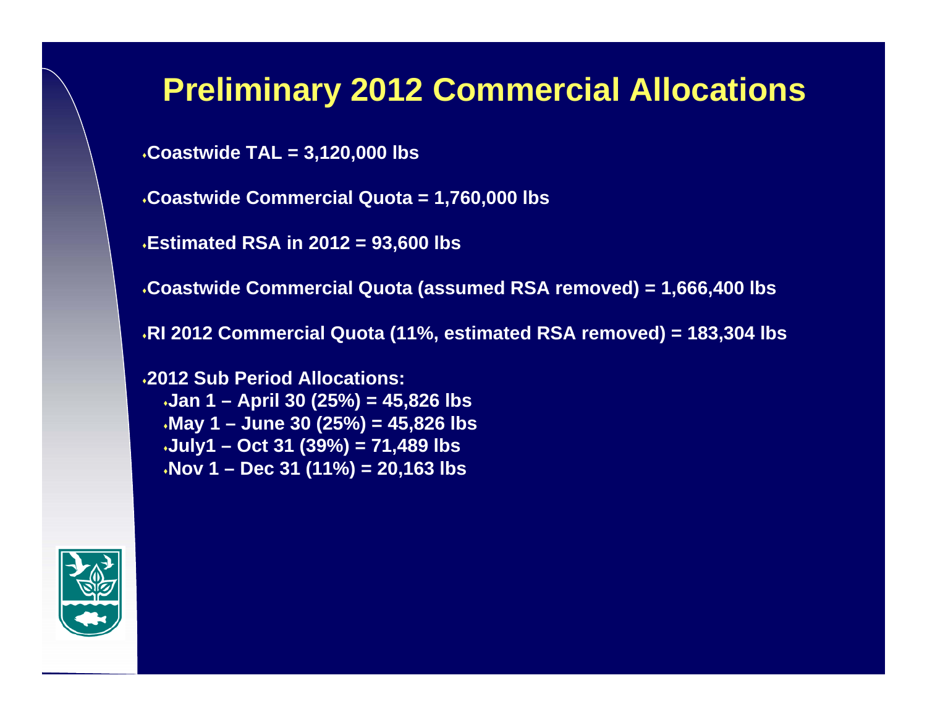## **Preliminary 2012 Commercial Allocations**

**Coastwide TAL = 3,120,000 lbs**

**Coastwide Commercial Quota = 1,760,000 lbs**

**Estimated RSA in 2012 = 93,600 lbs**

**Coastwide Commercial Quota (assumed RSA removed) = 1,666,400 lbs**

**RI 2012 Commercial Quota (11%, estimated RSA removed) = 183,304 lbs**

**2012 Sub Period Allocations:Jan 1 – April 30 (25%) = 45,826 lbs May 1 – June 30 (25%) = 45,826 lbs July1 – Oct 31 (39%) = 71,489 lbs Nov 1 – Dec 31 (11%) = 20,163 lbs**